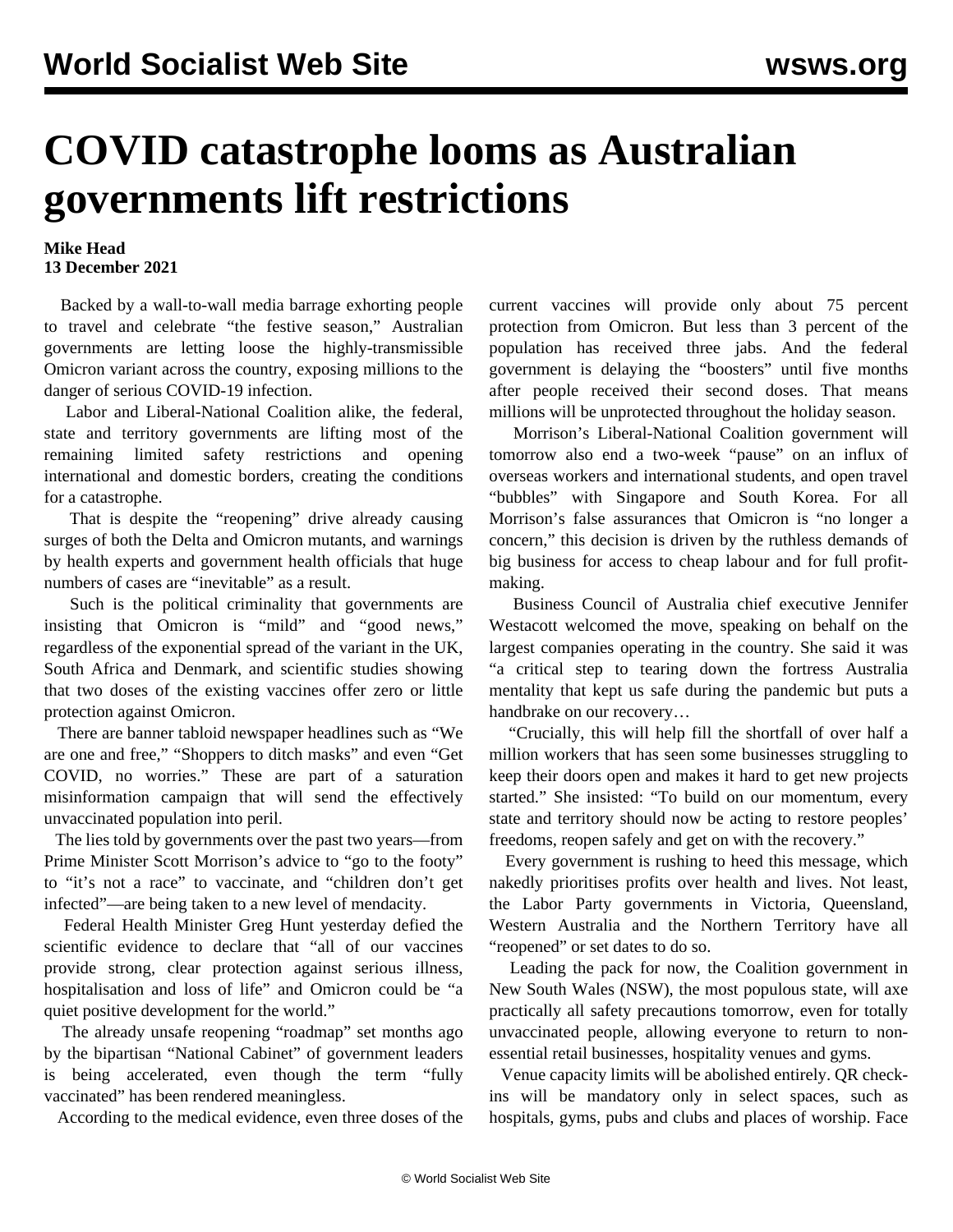## **COVID catastrophe looms as Australian governments lift restrictions**

## **Mike Head 13 December 2021**

 Backed by a wall-to-wall media barrage exhorting people to travel and celebrate "the festive season," Australian governments are letting loose the highly-transmissible Omicron variant across the country, exposing millions to the danger of serious COVID-19 infection.

 Labor and Liberal-National Coalition alike, the federal, state and territory governments are lifting most of the remaining limited safety restrictions and opening international and domestic borders, creating the conditions for a catastrophe.

 That is despite the "reopening" drive already causing surges of both the Delta and Omicron mutants, and warnings by health experts and government health officials that huge numbers of cases are "inevitable" as a result.

 Such is the political criminality that governments are insisting that Omicron is "mild" and "good news," regardless of the exponential spread of the variant in the UK, South Africa and Denmark, and scientific studies showing that two doses of the existing vaccines offer zero or little protection against Omicron.

 There are banner tabloid newspaper headlines such as "We are one and free," "Shoppers to ditch masks" and even "Get COVID, no worries." These are part of a saturation misinformation campaign that will send the effectively unvaccinated population into peril.

 The lies told by governments over the past two years—from Prime Minister Scott Morrison's advice to "go to the footy" to "it's not a race" to vaccinate, and "children don't get infected"—are being taken to a new level of mendacity.

 Federal Health Minister Greg Hunt yesterday defied the scientific evidence to declare that "all of our vaccines provide strong, clear protection against serious illness, hospitalisation and loss of life" and Omicron could be "a quiet positive development for the world."

 The already unsafe reopening "roadmap" set months ago by the bipartisan "National Cabinet" of government leaders is being accelerated, even though the term "fully vaccinated" has been rendered meaningless.

According to the medical evidence, even three doses of the

current vaccines will provide only about 75 percent protection from Omicron. But less than 3 percent of the population has received three jabs. And the federal government is delaying the "boosters" until five months after people received their second doses. That means millions will be unprotected throughout the holiday season.

 Morrison's Liberal-National Coalition government will tomorrow also end a two-week "pause" on an influx of overseas workers and international students, and open travel "bubbles" with Singapore and South Korea. For all Morrison's false assurances that Omicron is "no longer a concern," this decision is driven by the ruthless demands of big business for access to cheap labour and for full profitmaking.

 Business Council of Australia chief executive Jennifer Westacott welcomed the move, speaking on behalf on the largest companies operating in the country. She said it was "a critical step to tearing down the fortress Australia mentality that kept us safe during the pandemic but puts a handbrake on our recovery…

 "Crucially, this will help fill the shortfall of over half a million workers that has seen some businesses struggling to keep their doors open and makes it hard to get new projects started." She insisted: "To build on our momentum, every state and territory should now be acting to restore peoples' freedoms, reopen safely and get on with the recovery."

 Every government is rushing to heed this message, which nakedly prioritises profits over health and lives. Not least, the Labor Party governments in Victoria, Queensland, Western Australia and the Northern Territory have all "reopened" or set dates to do so.

 Leading the pack for now, the Coalition government in New South Wales (NSW), the most populous state, will axe practically all safety precautions tomorrow, even for totally unvaccinated people, allowing everyone to return to nonessential retail businesses, hospitality venues and gyms.

 Venue capacity limits will be abolished entirely. QR checkins will be mandatory only in select spaces, such as hospitals, gyms, pubs and clubs and places of worship. Face